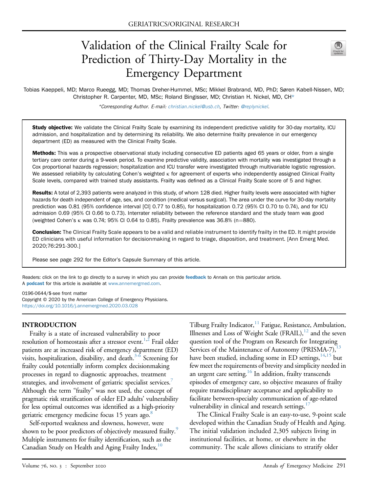# Validation of the Clinical Frailty Scale for Prediction of Thirty-Day Mortality in the Emergency Department



Tobias Kaeppeli, MD; Marco Rueegg, MD; Thomas Dreher-Hummel, MSc; Mikkel Brabrand, MD, PhD; Søren Kabell-Nissen, MD; Christopher R. Carpenter, MD, MSc; Roland Bingisser, MD; Christian H. Nickel, MD, CH\*

\*Corresponding Author. E-mail: [christian.nickel@usb.ch](mailto:christian.nickel@usb.ch), Twitter: [@replynickel](https://twitter.com/replynickel).

Study objective: We validate the Clinical Frailty Scale by examining its independent predictive validity for 30-day mortality, ICU admission, and hospitalization and by determining its reliability. We also determine frailty prevalence in our emergency department (ED) as measured with the Clinical Frailty Scale.

Methods: This was a prospective observational study including consecutive ED patients aged 65 years or older, from a single tertiary care center during a 9-week period. To examine predictive validity, association with mortality was investigated through a Cox proportional hazards regression; hospitalization and ICU transfer were investigated through multivariable logistic regression. We assessed reliability by calculating Cohen's weighted k for agreement of experts who independently assigned Clinical Frailty Scale levels, compared with trained study assistants. Frailty was defined as a Clinical Frailty Scale score of 5 and higher.

Results: A total of 2,393 patients were analyzed in this study, of whom 128 died. Higher frailty levels were associated with higher hazards for death independent of age, sex, and condition (medical versus surgical). The area under the curve for 30-day mortality prediction was 0.81 (95% confidence interval [CI] 0.77 to 0.85), for hospitalization 0.72 (95% CI 0.70 to 0.74), and for ICU admission 0.69 (95% CI 0.66 to 0.73). Interrater reliability between the reference standard and the study team was good (weighted Cohen's  $\kappa$  was 0.74; 95% CI 0.64 to 0.85). Frailty prevalence was 36.8% (n=880).

**Conclusion:** The Clinical Frailty Scale appears to be a valid and reliable instrument to identify frailty in the ED. It might provide ED clinicians with useful information for decisionmaking in regard to triage, disposition, and treatment. [Ann Emerg Med. 2020;76:291-300.]

Please see page 292 for the Editor's Capsule Summary of this article.

Readers: click on the link to go directly to a survey in which you can provide [feedback](https://www.surveymonkey.com/r/7X9PP5F) to Annals on this particular article. A **[podcast](http://annemergmed.com/content/podcast)** for this article is available at [www.annemergmed.com](http://www.annemergmed.com).

0196-0644/\$-see front matter Copyright © 2020 by the American College of Emergency Physicians. <https://doi.org/10.1016/j.annemergmed.2020.03.028>

#### INTRODUCTION

Frailty is a state of increased vulnerability to poor resolution of homeostasis after a stressor event.<sup>1[,2](#page-8-1)</sup> Frail older patients are at increased risk of emergency department (ED) visits, hospitalization, disability, and death. $3-6$  Screening for frailty could potentially inform complex decisionmaking processes in regard to diagnostic approaches, treatment strategies, and involvement of geriatric specialist services.<sup>7</sup> Although the term "frailty" was not used, the concept of pragmatic risk stratification of older ED adults' vulnerability for less optimal outcomes was identified as a high-priority geriatric emergency medicine focus 15 years ago.<sup>8</sup>

Self-reported weakness and slowness, however, were shown to be poor predictors of objectively measured frailty.<sup>9</sup> Multiple instruments for frailty identification, such as the Canadian Study on Health and Aging Frailty Index,<sup>10</sup>

Tilburg Frailty Indicator,<sup>11</sup> Fatigue, Resistance, Ambulation, Illnesses and Loss of Weight Scale  $(FRAIL),<sup>12</sup>$  $(FRAIL),<sup>12</sup>$  $(FRAIL),<sup>12</sup>$  and the seven question tool of the Program on Research for Integrating Services of the Maintenance of Autonomy (PRISMA-7),<sup>13</sup> have been studied, including some in ED settings,  $14,15$  $14,15$  but few meet the requirements of brevity and simplicity needed in an urgent care setting. $16$  In addition, frailty transcends episodes of emergency care, so objective measures of frailty require transdisciplinary acceptance and applicability to facilitate between-specialty communication of age-related vulnerability in clinical and research settings.<sup>17</sup>

The Clinical Frailty Scale is an easy-to-use, 9-point scale developed within the Canadian Study of Health and Aging. The initial validation included 2,305 subjects living in institutional facilities, at home, or elsewhere in the community. The scale allows clinicians to stratify older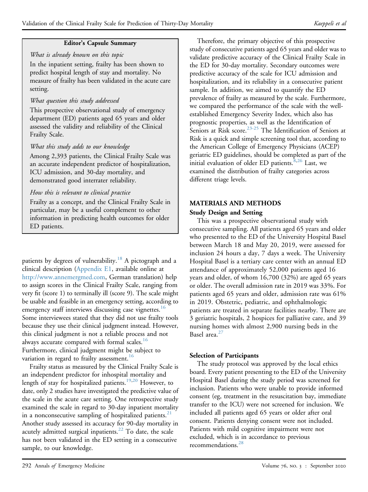#### Editor's Capsule Summary

#### What is already known on this topic

In the inpatient setting, frailty has been shown to predict hospital length of stay and mortality. No measure of frailty has been validated in the acute care setting.

#### What question this study addressed

This prospective observational study of emergency department (ED) patients aged 65 years and older assessed the validity and reliability of the Clinical Frailty Scale.

# What this study adds to our knowledge

Among 2,393 patients, the Clinical Frailty Scale was an accurate independent predictor of hospitalization, ICU admission, and 30-day mortality, and demonstrated good interrater reliability.

# How this is relevant to clinical practice

Frailty as a concept, and the Clinical Frailty Scale in particular, may be a useful complement to other information in predicting health outcomes for older ED patients.

patients by degrees of vulnerability.<sup>18</sup> A pictograph and a clinical description (Appendix E1, available online at <http://www.annemergmed.com>, German translation) help to assign scores in the Clinical Frailty Scale, ranging from very fit (score 1) to terminally ill (score 9). The scale might be usable and feasible in an emergency setting, according to emergency staff interviews discussing case vignettes.<sup>[16](#page-8-12)</sup> Some interviewees stated that they did not use frailty tools because they use their clinical judgment instead. However, this clinical judgment is not a reliable process and not always accurate compared with formal scales.<sup>[16](#page-8-12)</sup> Furthermore, clinical judgment might be subject to variation in regard to frailty assessment.<sup>16</sup>

Frailty status as measured by the Clinical Frailty Scale is an independent predictor for inhospital mortality and length of stay for hospitalized patients.<sup>19,[20](#page-8-16)</sup> However, to date, only 2 studies have investigated the predictive value of the scale in the acute care setting. One retrospective study examined the scale in regard to 30-day inpatient mortality in a nonconsecutive sampling of hospitalized patients.<sup>[21](#page-8-17)</sup> Another study assessed its accuracy for 90-day mortality in acutely admitted surgical inpatients.<sup>22</sup> To date, the scale has not been validated in the ED setting in a consecutive sample, to our knowledge.

Therefore, the primary objective of this prospective study of consecutive patients aged 65 years and older was to validate predictive accuracy of the Clinical Frailty Scale in the ED for 30-day mortality. Secondary outcomes were predictive accuracy of the scale for ICU admission and hospitalization, and its reliability in a consecutive patient sample. In addition, we aimed to quantify the ED prevalence of frailty as measured by the scale. Furthermore, we compared the performance of the scale with the wellestablished Emergency Severity Index, which also has prognostic properties, as well as the Identification of Seniors at Risk score.<sup>[23-25](#page-9-0)</sup> The Identification of Seniors at Risk is a quick and simple screening tool that, according to the American College of Emergency Physicians (ACEP) geriatric ED guidelines, should be completed as part of the initial evaluation of older ED patients. $8,26$  $8,26$  $8,26$  Last, we examined the distribution of frailty categories across different triage levels.

# MATERIALS AND METHODS

#### Study Design and Setting

This was a prospective observational study with consecutive sampling. All patients aged 65 years and older who presented to the ED of the University Hospital Basel between March 18 and May 20, 2019, were assessed for inclusion 24 hours a day, 7 days a week. The University Hospital Basel is a tertiary care center with an annual ED attendance of approximately 52,000 patients aged 16 years and older, of whom 16,700 (32%) are aged 65 years or older. The overall admission rate in 2019 was 33%. For patients aged 65 years and older, admission rate was 61% in 2019. Obstetric, pediatric, and ophthalmologic patients are treated in separate facilities nearby. There are 3 geriatric hospitals, 2 hospices for palliative care, and 39 nursing homes with almost 2,900 nursing beds in the Basel area.<sup>[27](#page-9-2)</sup>

#### Selection of Participants

The study protocol was approved by the local ethics board. Every patient presenting to the ED of the University Hospital Basel during the study period was screened for inclusion. Patients who were unable to provide informed consent (eg, treatment in the resuscitation bay, immediate transfer to the ICU) were not screened for inclusion. We included all patients aged 65 years or older after oral consent. Patients denying consent were not included. Patients with mild cognitive impairment were not excluded, which is in accordance to previous recommendations.<sup>[28](#page-9-3)</sup>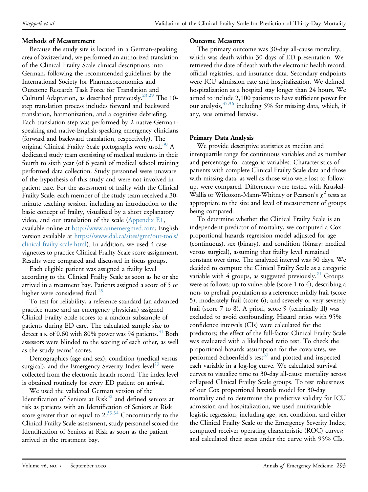# Methods of Measurement

Because the study site is located in a German-speaking area of Switzerland, we performed an authorized translation of the Clinical Frailty Scale clinical descriptions into German, following the recommended guidelines by the International Society for Pharmacoeconomics and Outcome Research Task Force for Translation and Cultural Adaptation, as described previously.<sup>23,[29](#page-9-4)</sup> The 10step translation process includes forward and backward translation, harmonization, and a cognitive debriefing. Each translation step was performed by 2 native-Germanspeaking and native-English-speaking emergency clinicians (forward and backward translation, respectively). The original Clinical Frailty Scale pictographs were used.<sup>30</sup> A dedicated study team consisting of medical students in their fourth to sixth year (of 6 years) of medical school training performed data collection. Study personnel were unaware of the hypothesis of this study and were not involved in patient care. For the assessment of frailty with the Clinical Frailty Scale, each member of the study team received a 30 minute teaching session, including an introduction to the basic concept of frailty, visualized by a short explanatory video, and our translation of the scale (Appendix E1, available online at <http://www.annemergmed.com>; English version available at [https://www.dal.ca/sites/gmr/our-tools/](https://www.dal.ca/sites/gmr/our-tools/clinical-frailty-scale.html) [clinical-frailty-scale.html\)](https://www.dal.ca/sites/gmr/our-tools/clinical-frailty-scale.html). In addition, we used 4 case vignettes to practice Clinical Frailty Scale score assignment. Results were compared and discussed in focus groups.

Each eligible patient was assigned a frailty level according to the Clinical Frailty Scale as soon as he or she arrived in a treatment bay. Patients assigned a score of 5 or higher were considered frail.<sup>[18](#page-8-14)</sup>

To test for reliability, a reference standard (an advanced practice nurse and an emergency physician) assigned Clinical Frailty Scale scores to a random subsample of patients during ED care. The calculated sample size to detect a  $\kappa$  of 0.60 with 80% power was 94 patients.<sup>[31](#page-9-6)</sup> Both assessors were blinded to the scoring of each other, as well as the study teams' scores.

Demographics (age and sex), condition (medical versus surgical), and the Emergency Severity Index level<sup>[23](#page-9-0)</sup> were collected from the electronic health record. The index level is obtained routinely for every ED patient on arrival.

We used the validated German version of the Identification of Seniors at  $Risk^{32}$  $Risk^{32}$  $Risk^{32}$  and defined seniors at risk as patients with an Identification of Seniors at Risk score greater than or equal to  $2.^{33,34}$  $2.^{33,34}$  $2.^{33,34}$  Concomitantly to the Clinical Frailty Scale assessment, study personnel scored the Identification of Seniors at Risk as soon as the patient arrived in the treatment bay.

#### Outcome Measures

The primary outcome was 30-day all-cause mortality, which was death within 30 days of ED presentation. We retrieved the date of death with the electronic health record, official registries, and insurance data. Secondary endpoints were ICU admission rate and hospitalization. We defined hospitalization as a hospital stay longer than 24 hours. We aimed to include 2,100 patients to have sufficient power for our analysis,  $35,36$  $35,36$  including 5% for missing data, which, if any, was omitted listwise.

#### Primary Data Analysis

We provide descriptive statistics as median and interquartile range for continuous variables and as number and percentage for categoric variables. Characteristics of patients with complete Clinical Frailty Scale data and those with missing data, as well as those who were lost to followup, were compared. Differences were tested with Kruskal-Wallis or Wilcoxon-Mann-Whitney or Pearson's  $\chi^2$  tests as appropriate to the size and level of measurement of groups being compared.

To determine whether the Clinical Frailty Scale is an independent predictor of mortality, we computed a Cox proportional hazards regression model adjusted for age (continuous), sex (binary), and condition (binary: medical versus surgical), assuming that frailty level remained constant over time. The analyzed interval was 30 days. We decided to compute the Clinical Frailty Scale as a categoric variable with 4 groups, as suggested previously.<sup>[21](#page-8-17)</sup> Groups were as follows: up to vulnerable (score 1 to 4), describing a non- to prefrail population as a reference; mildly frail (score 5); moderately frail (score 6); and severely or very severely frail (score 7 to 8). A priori, score 9 (terminally ill) was excluded to avoid confounding. Hazard ratios with 95% confidence intervals (CIs) were calculated for the predictors; the effect of the full-factor Clinical Frailty Scale was evaluated with a likelihood ratio test. To check the proportional hazards assumption for the covariates, we performed Schoenfeld's test $37$  and plotted and inspected each variable in a log-log curve. We calculated survival curves to visualize time to 30-day all-cause mortality across collapsed Clinical Frailty Scale groups. To test robustness of our Cox proportional hazards model for 30-day mortality and to determine the predictive validity for ICU admission and hospitalization, we used multivariable logistic regression, including age, sex, condition, and either the Clinical Frailty Scale or the Emergency Severity Index; computed receiver operating characteristic (ROC) curves; and calculated their areas under the curve with 95% CIs.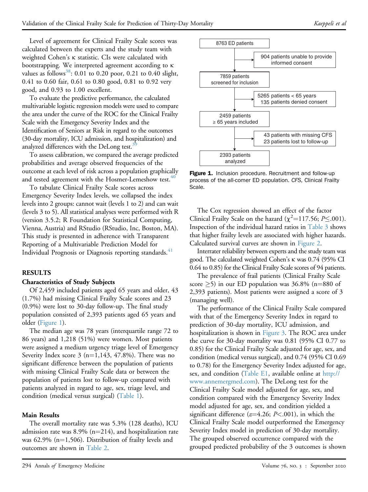Level of agreement for Clinical Frailty Scale scores was calculated between the experts and the study team with weighted Cohen's k statistic. CIs were calculated with bootstrapping. We interpreted agreement according to k values as follows<sup>[38](#page-9-13)</sup>:  $0.01$  to  $0.20$  poor,  $0.21$  to  $0.40$  slight, 0.41 to 0.60 fair, 0.61 to 0.80 good, 0.81 to 0.92 very good, and 0.93 to 1.00 excellent.

To evaluate the predictive performance, the calculated multivariable logistic regression models were used to compare the area under the curve of the ROC for the Clinical Frailty Scale with the Emergency Severity Index and the Identification of Seniors at Risk in regard to the outcomes (30-day mortality, ICU admission, and hospitalization) and analyzed differences with the DeLong test.<sup>3</sup>

To assess calibration, we compared the average predicted probabilities and average observed frequencies of the outcome at each level of risk across a population graphically and tested agreement with the Hosmer-Lemeshow test. $40$ 

To tabulate Clinical Frailty Scale scores across Emergency Severity Index levels, we collapsed the index levels into 2 groups: cannot wait (levels 1 to 2) and can wait (levels 3 to 5). All statistical analyses were performed with R (version 3.5.2; R Foundation for Statistical Computing, Vienna, Austria) and RStudio (RStudio, Inc, Boston, MA). This study is presented in adherence with Transparent Reporting of a Multivariable Prediction Model for Individual Prognosis or Diagnosis reporting standards.<sup>[41](#page-9-16)</sup>

#### RESULTS

#### Characteristics of Study Subjects

Of 2,459 included patients aged 65 years and older, 43 (1.7%) had missing Clinical Frailty Scale scores and 23 (0.9%) were lost to 30-day follow-up. The final study population consisted of 2,393 patients aged 65 years and older [\(Figure 1](#page-3-0)).

The median age was 78 years (interquartile range 72 to 86 years) and 1,218 (51%) were women. Most patients were assigned a medium urgency triage level of Emergency Severity Index score  $3$  (n=1,143, 47.8%). There was no significant difference between the population of patients with missing Clinical Frailty Scale data or between the population of patients lost to follow-up compared with patients analyzed in regard to age, sex, triage level, and condition (medical versus surgical) [\(Table 1](#page-4-0)).

#### Main Results

The overall mortality rate was 5.3% (128 deaths), ICU admission rate was  $8.9\%$  (n=214), and hospitalization rate was  $62.9\%$  (n=1,506). Distribution of frailty levels and outcomes are shown in [Table 2](#page-5-0).

<span id="page-3-0"></span>

Figure 1. Inclusion procedure. Recruitment and follow-up process of the all-comer ED population. CFS, Clinical Frailty Scale.

The Cox regression showed an effect of the factor Clinical Frailty Scale on the hazard ( $\chi^2$ =117.56; P $\leq$ .001). Inspection of the individual hazard ratios in [Table 3](#page-6-0) shows that higher frailty levels are associated with higher hazards. Calculated survival curves are shown in [Figure 2](#page-6-1).

Interrater reliability between experts and the study team was good. The calculated weighted Cohen's k was 0.74 (95% CI 0.64 to 0.85) for the Clinical Frailty Scale scores of 94 patients.

The prevalence of frail patients (Clinical Frailty Scale score  $\geq$ 5) in our ED population was 36.8% (n=880 of 2,393 patients). Most patients were assigned a score of 3 (managing well).

The performance of the Clinical Frailty Scale compared with that of the Emergency Severity Index in regard to prediction of 30-day mortality, ICU admission, and hospitalization is shown in [Figure 3.](#page-7-0) The ROC area under the curve for 30-day mortality was 0.81 (95% CI 0.77 to 0.85) for the Clinical Frailty Scale adjusted for age, sex, and condition (medical versus surgical), and 0.74 (95% CI 0.69 to 0.78) for the Emergency Severity Index adjusted for age, sex, and condition (Table E1, available online at [http://](http://www.annemergmed.com) [www.annemergmed.com](http://www.annemergmed.com)). The DeLong test for the Clinical Frailty Scale model adjusted for age, sex, and condition compared with the Emergency Severity Index model adjusted for age, sex, and condition yielded a significant difference ( $z=4.26$ ; P<.001), in which the Clinical Frailty Scale model outperformed the Emergency Severity Index model in prediction of 30-day mortality. The grouped observed occurrence compared with the grouped predicted probability of the 3 outcomes is shown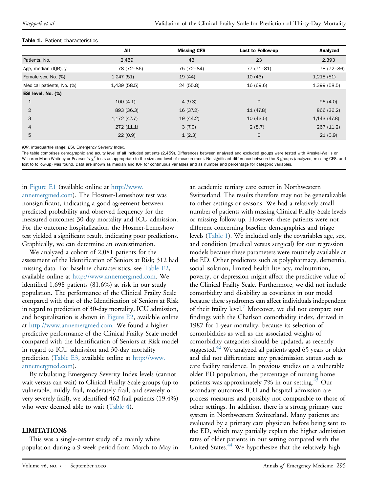|                           | All          | <b>Missing CFS</b> | Lost to Follow-up | Analyzed     |
|---------------------------|--------------|--------------------|-------------------|--------------|
| Patients, No.             | 2,459        | 43                 | 23                | 2,393        |
| Age, median (IQR), y      | 78 (72-86)   | 75 (72-84)         | 77 (71-81)        | 78 (72-86)   |
| Female sex, No. (%)       | 1,247(51)    | 19(44)             | 10(43)            | 1,218(51)    |
| Medical patients, No. (%) | 1,439 (58.5) | 24 (55.8)          | 16 (69.6)         | 1,399 (58.5) |
| ESI level, No. (%)        |              |                    |                   |              |
| $\mathbf{1}$              | 100(4.1)     | 4(9.3)             | $\mathbf 0$       | 96(4.0)      |
| $\overline{2}$            | 893 (36.3)   | 16 (37.2)          | 11 (47.8)         | 866 (36.2)   |
| 3                         | 1,172(47.7)  | 19 (44.2)          | 10(43.5)          | 1,143 (47.8) |
| $\overline{4}$            | 272 (11.1)   | 3(7.0)             | 2(8.7)            | 267 (11.2)   |
| 5                         | 22(0.9)      | 1(2.3)             | $\mathbf 0$       | 21(0.9)      |
|                           |              |                    |                   |              |

#### Table 1. Patient characteristics.

<span id="page-4-0"></span>IQR, interquartile range; ESI, Emergency Severity Index.

The table comprises demographic and acuity level of all included patients (2,459). Differences between analyzed and excluded groups were tested with Kruskal-Wallis or Wilcoxon-Mann-Whitney or Pearson's  $\chi^2$  tests as appropriate to the size and level of measurement. No significant difference between the 3 groups (analyzed, missing CFS, and lost to follow-up) was found. Data are shown as median and IQR for continuous variables and as number and percentage for categoric variables.

in Figure E1 (available online at [http://www.](http://www.annemergmed.com)

[annemergmed.com](http://www.annemergmed.com)). The Hosmer-Lemeshow test was nonsignificant, indicating a good agreement between predicted probability and observed frequency for the measured outcomes 30-day mortality and ICU admission. For the outcome hospitalization, the Hosmer-Lemeshow test yielded a significant result, indicating poor predictions. Graphically, we can determine an overestimation.

We analyzed a cohort of 2,081 patients for the assessment of the Identification of Seniors at Risk; 312 had missing data. For baseline characteristics, see Table E2, available online at [http://www.annemergmed.com.](http://www.annemergmed.com) We identified 1,698 patients (81.6%) at risk in our study population. The performance of the Clinical Frailty Scale compared with that of the Identification of Seniors at Risk in regard to prediction of 30-day mortality, ICU admission, and hospitalization is shown in Figure E2, available online at <http://www.annemergmed.com>. We found a higher predictive performance of the Clinical Frailty Scale model compared with the Identification of Seniors at Risk model in regard to ICU admission and 30-day mortality prediction (Table E3, available online at [http://www.](http://www.annemergmed.com) [annemergmed.com](http://www.annemergmed.com)).

By tabulating Emergency Severity Index levels (cannot wait versus can wait) to Clinical Frailty Scale groups (up to vulnerable, mildly frail, moderately frail, and severely or very severely frail), we identified 462 frail patients (19.4%) who were deemed able to wait ([Table 4\)](#page-7-1).

#### **LIMITATIONS**

This was a single-center study of a mainly white population during a 9-week period from March to May in

an academic tertiary care center in Northwestern Switzerland. The results therefore may not be generalizable to other settings or seasons. We had a relatively small number of patients with missing Clinical Frailty Scale levels or missing follow-up. However, these patients were not different concerning baseline demographics and triage levels [\(Table 1\)](#page-4-0). We included only the covariables age, sex, and condition (medical versus surgical) for our regression models because these parameters were routinely available at the ED. Other predictors such as polypharmacy, dementia, social isolation, limited health literacy, malnutrition, poverty, or depression might affect the predictive value of the Clinical Frailty Scale. Furthermore, we did not include comorbidity and disability as covariates in our model because these syndromes can affect individuals independent of their frailty level.<sup>[7](#page-8-3)</sup> Moreover, we did not compare our findings with the Charlson comorbidity index, derived in 1987 for 1-year mortality, because its selection of comorbidities as well as the associated weights of comorbidity categories should be updated, as recently suggested. $42$  We analyzed all patients aged 65 years or older and did not differentiate any preadmission status such as care facility residence. In previous studies on a vulnerable older ED population, the percentage of nursing home patients was approximately  $7\%$  in our setting.<sup>43</sup> Our secondary outcomes ICU and hospital admission are process measures and possibly not comparable to those of other settings. In addition, there is a strong primary care system in Northwestern Switzerland. Many patients are evaluated by a primary care physician before being sent to the ED, which may partially explain the higher admission rates of older patients in our setting compared with the United States.<sup>[44](#page-9-19)</sup> We hypothesize that the relatively high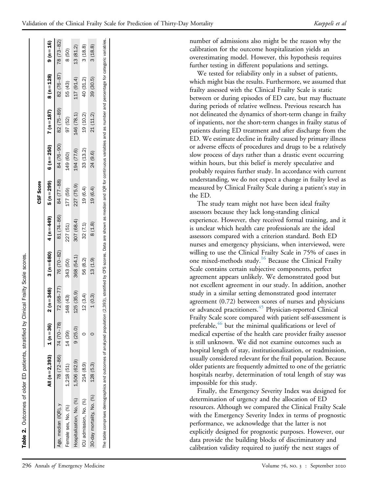number of admissions also might be the reason why the calibration for the outcome hospitalization yields an overestimating model. However, this hypothesis requires further testing in different populations and settings.

We tested for reliability only in a subset of patients, which might bias the results. Furthermore, we assumed that frailty assessed with the Clinical Frailty Scale is static between or during episodes of ED care, but may fluctuate during periods of relative wellness. Previous research has not delineated the dynamics of short-term change in frailty of inpatients, nor the short-term changes in frailty status of patients during ED treatment and after discharge from the ED. We estimate decline in frailty caused by primary illness or adverse effects of procedures and drugs to be a relatively slow process of days rather than a drastic event occurring within hours, but this belief is merely speculative and probably requires further study. In accordance with current understanding, we do not expect a change in frailty level as measured by Clinical Frailty Scale during a patient's stay in the ED.

The study team might not have been ideal frailty assessors because they lack long-standing clinical experience. However, they received formal training, and it is unclear which health care professionals are the ideal assessors compared with a criterion standard. Both ED nurses and emergency physicians, when interviewed, were willing to use the Clinical Frailty Scale in 75% of cases in one mixed-methods study.<sup>[16](#page-8-12)</sup> Because the Clinical Frailty Scale contains certain subjective components, perfect agreement appears unlikely. We demonstrated good but not excellent agreement in our study. In addition, another study in a similar setting demonstrated good interrater agreement (0.72) between scores of nurses and physicians or advanced practitioners.<sup>[45](#page-9-20)</sup> Physician-reported Clinical Frailty Scale score compared with patient self-assessment is preferable,<sup>46</sup> but the minimal qualifications or level of medical expertise of the health care provider frailty assessor is still unknown. We did not examine outcomes such as hospital length of stay, institutionalization, or readmission, usually considered relevant for the frail population. Because older patients are frequently admitted to one of the geriatric hospitals nearby, determination of total length of stay was impossible for this study.

Finally, the Emergency Severity Index was designed for determination of urgency and the allocation of ED resources. Although we compared the Clinical Frailty Scale with the Emergency Severity Index in terms of prognostic performance, we acknowledge that the latter is not explicitly designed for prognostic purposes. However, our data provide the building blocks of discriminatory and calibration validity required to justify the next stages of

| :<br>ا                                           |
|--------------------------------------------------|
|                                                  |
| ï                                                |
|                                                  |
| ֧֧֧ׅ֧֧֧֧֧֧֚֚֚֚֚֚֚֚֚֚֚֚֚֚֚֚֚֚֚֚֝֕֝֝֘֝֬֝֬֝֬֝֝֬֝֬֝֬ |
|                                                  |
| ֚֡<br>׀֚<br>l                                    |
| $\frac{1}{2}$<br>ٔ                               |
|                                                  |
| I                                                |
|                                                  |
|                                                  |

<span id="page-5-0"></span>

|                                                                                                                                                                                                                         | All $(n=2,393)$ 1 $(n=36)$ |                         |               | $2(n=348)$ $3(n=690)$ $5(n=49)$ |                          |            | $5(n=299)$ $6(n=250)$ $7(n=187)$ $8(n=128)$ |            |                        | $9(n=16)$ |
|-------------------------------------------------------------------------------------------------------------------------------------------------------------------------------------------------------------------------|----------------------------|-------------------------|---------------|---------------------------------|--------------------------|------------|---------------------------------------------|------------|------------------------|-----------|
| Age, median (IQR), y                                                                                                                                                                                                    |                            | $78(72-86)$ $74(70-78)$ | $72(68 - 77)$ |                                 | $76(70-82)$ 81 $(74-86)$ | 84 (77-88) | 84 (76-90)                                  | 82 (75-89) | $82(76-87)$ 78 (73-82) |           |
| Female sex, No. (%)                                                                                                                                                                                                     | 1,218 (51)                 | 14(39)                  | 148 (43)      | 343 (50)                        | 227 (51)                 | 177 (59)   | 149 (60)                                    | 97 (52)    | 55 (43)                | 8 (50)    |
| lospitalization, No. (%)                                                                                                                                                                                                | 1,506 (62.9)               | 9(25.0)                 | 125 (35.9)    | 368 (54.1)                      | 307 (68.4)               | 227 (75.9) | 021/194                                     | (46 (78.1) | 117 (91.4)             | 13 (81.2) |
| ICU admission, No. (%)                                                                                                                                                                                                  | 214 (8.9)                  |                         | 12 (3.4)      | 56 (8.2)                        | 32 (7.1)                 | 19 (6.4)   | 33 (13.2)                                   | 19 (10.2)  | 40 (31.2)              | 3(18.8)   |
| 30-day mortality, No. (%)                                                                                                                                                                                               | 128 (5.3)                  |                         | 1(0.3)        | 13(1.9)                         | 8(1.8)                   | 19 (6.4)   | 24 (9.6)                                    | 21 (11.2)  | 39 (30.5)              | 3(18.8)   |
| The table comprises demographics and outcomes of analyzed population (2,393), stratified by CFS scores. Data are shown as median and IQR for continuous variables and as number and percentage for categoric variables. |                            |                         |               |                                 |                          |            |                                             |            |                        |           |

CSF Score

**CSF Score**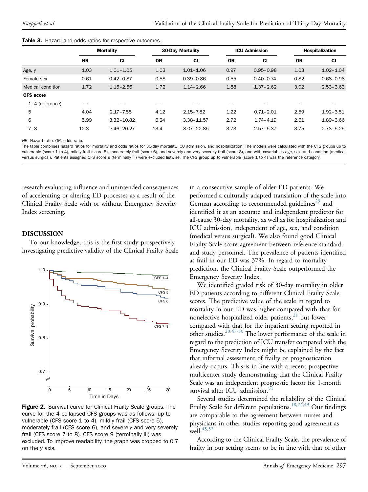|                   | <b>Mortality</b> |                | <b>30-Day Mortality</b> |                | <b>ICU Admission</b> |               | <b>Hospitalization</b> |               |
|-------------------|------------------|----------------|-------------------------|----------------|----------------------|---------------|------------------------|---------------|
|                   | <b>HR</b>        | <b>CI</b>      | <b>OR</b>               | <b>CI</b>      | <b>OR</b>            | <b>CI</b>     | <b>OR</b>              | <b>CI</b>     |
| Age, y            | 1.03             | $1.01 - 1.05$  | 1.03                    | $1.01 - 1.06$  | 0.97                 | $0.95 - 0.98$ | 1.03                   | $1.02 - 1.04$ |
| Female sex        | 0.61             | $0.42 - 0.87$  | 0.58                    | $0.39 - 0.86$  | 0.55                 | $0.40 - 0.74$ | 0.82                   | $0.68 - 0.98$ |
| Medical condition | 1.72             | $1.15 - 2.56$  | 1.72                    | $1.14 - 2.66$  | 1.88                 | $1.37 - 2.62$ | 3.02                   | $2.53 - 3.63$ |
| <b>CFS</b> score  |                  |                |                         |                |                      |               |                        |               |
| $1-4$ (reference) | –                |                |                         |                |                      |               |                        |               |
| 5                 | 4.04             | $2.17 - 7.55$  | 4.12                    | $2.15 - 7.82$  | 1.22                 | $0.71 - 2.01$ | 2.59                   | $1.92 - 3.51$ |
| 6                 | 5.99             | $3.32 - 10.82$ | 6.24                    | $3.38 - 11.57$ | 2.72                 | $1.74 - 4.19$ | 2.61                   | $1.89 - 3.66$ |
| $7 - 8$           | 12.3             | 7.46-20.27     | 13.4                    | $8.07 - 22.85$ | 3.73                 | $2.57 - 5.37$ | 3.75                   | $2.73 - 5.25$ |

|  |  |  |  |  |  | Table 3. Hazard and odds ratios for respective outcomes. |  |
|--|--|--|--|--|--|----------------------------------------------------------|--|
|--|--|--|--|--|--|----------------------------------------------------------|--|

<span id="page-6-0"></span>HR, Hazard ratio; OR, odds ratio.

The table comprises hazard ratios for mortality and odds ratios for 30-day mortality, ICU admission, and hospitalization. The models were calculated with the CFS groups up to vulnerable (score 1 to 4), mildly frail (score 5), moderately frail (score 6), and severely and very severely frail (score 8), and with covariables age, sex, and condition (medical versus surgical). Patients assigned CFS score 9 (terminally ill) were excluded listwise. The CFS group up to vulnerable (score 1 to 4) was the reference category.

research evaluating influence and unintended consequences of accelerating or altering ED processes as a result of the Clinical Frailty Scale with or without Emergency Severity Index screening.

#### DISCUSSION

To our knowledge, this is the first study prospectively investigating predictive validity of the Clinical Frailty Scale

<span id="page-6-1"></span>

Figure 2. Survival curve for Clinical Frailty Scale groups. The curve for the 4 collapsed CFS groups was as follows: up to vulnerable (CFS score 1 to 4), mildly frail (CFS score 5), moderately frail (CFS score 6), and severely and very severely frail (CFS score 7 to 8). CFS score 9 (terminally ill) was excluded. To improve readability, the graph was cropped to 0.7 on the y axis.

in a consecutive sample of older ED patients. We performed a culturally adapted translation of the scale into German according to recommended guidelines<sup>[29](#page-9-4)</sup> and identified it as an accurate and independent predictor for all-cause 30-day mortality, as well as for hospitalization and ICU admission, independent of age, sex, and condition (medical versus surgical). We also found good Clinical Frailty Scale score agreement between reference standard and study personnel. The prevalence of patients identified as frail in our ED was 37%. In regard to mortality prediction, the Clinical Frailty Scale outperformed the Emergency Severity Index.

We identified graded risk of 30-day mortality in older ED patients according to different Clinical Frailty Scale scores. The predictive value of the scale in regard to mortality in our ED was higher compared with that for nonelective hospitalized older patients, $21$  but lower compared with that for the inpatient setting reported in other studies.<sup>[20](#page-8-16)[,47-50](#page-9-22)</sup> The lower performance of the scale in regard to the prediction of ICU transfer compared with the Emergency Severity Index might be explained by the fact that informal assessment of frailty or prognostication already occurs. This is in line with a recent prospective multicenter study demonstrating that the Clinical Frailty Scale was an independent prognostic factor for 1-month survival after ICU admission.<sup>5</sup>

Several studies determined the reliability of the Clinical Frailty Scale for different populations.<sup>[18](#page-8-14)[,24](#page-9-24)[,49](#page-9-25)</sup> Our findings are comparable to the agreement between nurses and physicians in other studies reporting good agreement as well.<sup>[45](#page-9-20)[,52](#page-9-26)</sup>

According to the Clinical Frailty Scale, the prevalence of frailty in our setting seems to be in line with that of other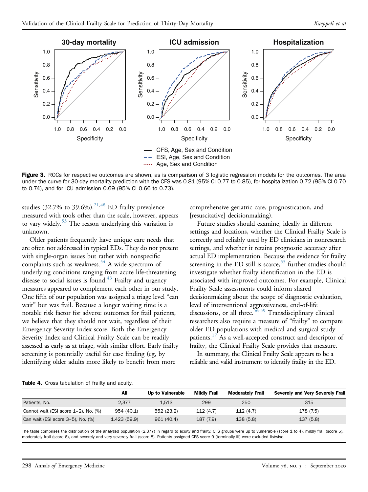<span id="page-7-0"></span>

Figure 3. ROCs for respective outcomes are shown, as is comparison of 3 logistic regression models for the outcomes. The area under the curve for 30-day mortality prediction with the CFS was 0.81 (95% CI 0.77 to 0.85), for hospitalization 0.72 (95% CI 0.70 to 0.74), and for ICU admission 0.69 (95% CI 0.66 to 0.73).

studies  $(32.7\%$  to  $39.6\%)$ <sup>21[,48](#page-9-27)</sup> ED frailty prevalence measured with tools other than the scale, however, appears to vary widely.<sup>[53](#page-9-28)</sup> The reason underlying this variation is unknown.

Older patients frequently have unique care needs that are often not addressed in typical EDs. They do not present with single-organ issues but rather with nonspecific complaints such as weakness.<sup>[54](#page-9-29)</sup> A wide spectrum of underlying conditions ranging from acute life-threatening disease to social issues is found. $43$  Frailty and urgency measures appeared to complement each other in our study. One fifth of our population was assigned a triage level "can wait" but was frail. Because a longer waiting time is a notable risk factor for adverse outcomes for frail patients, we believe that they should not wait, regardless of their Emergency Severity Index score. Both the Emergency Severity Index and Clinical Frailty Scale can be readily assessed as early as at triage, with similar effort. Early frailty screening is potentially useful for case finding (eg, by identifying older adults more likely to benefit from more

comprehensive geriatric care, prognostication, and [resuscitative] decisionmaking).

Future studies should examine, ideally in different settings and locations, whether the Clinical Frailty Scale is correctly and reliably used by ED clinicians in nonresearch settings, and whether it retains prognostic accuracy after actual ED implementation. Because the evidence for frailty screening in the ED still is scarce,<sup>[55](#page-9-30)</sup> further studies should investigate whether frailty identification in the ED is associated with improved outcomes. For example, Clinical Frailty Scale assessments could inform shared decisionmaking about the scope of diagnostic evaluation, level of interventional aggressiveness, end-of-life discussions, or all three.  $56-59$  Transdisciplinary clinical researchers also require a measure of "frailty" to compare older ED populations with medical and surgical study patients.<sup>[17](#page-8-13)</sup> As a well-accepted construct and descriptor of frailty, the Clinical Frailty Scale provides that measure.

In summary, the Clinical Frailty Scale appears to be a reliable and valid instrument to identify frailty in the ED.

Table 4. Cross tabulation of frailty and acuity.

|                                         | All          | Up to Vulnerable | <b>Mildly Frail</b> | <b>Moderately Frail</b> | Severely and Very Severely Frail |
|-----------------------------------------|--------------|------------------|---------------------|-------------------------|----------------------------------|
| Patients, No.                           | 2.377        | 1.513            | 299                 | 250                     | 315                              |
| Cannot wait (ESI score 1-2), No. (%)    | 954 (40.1)   | 552 (23.2)       | 112(4.7)            | 112(4.7)                | 178 (7.5)                        |
| Can wait (ESI score $3-5$ ), No. $(\%)$ | 1,423 (59.9) | 961 (40.4)       | 187 (7.9)           | 138(5.8)                | 137(5.8)                         |

<span id="page-7-1"></span>The table comprises the distribution of the analyzed population (2,377) in regard to acuity and frailty. CFS groups were up to vulnerable (score 1 to 4), mildly frail (score 5), moderately frail (score 6), and severely and very severely frail (score 8). Patients assigned CFS score 9 (terminally ill) were excluded listwise.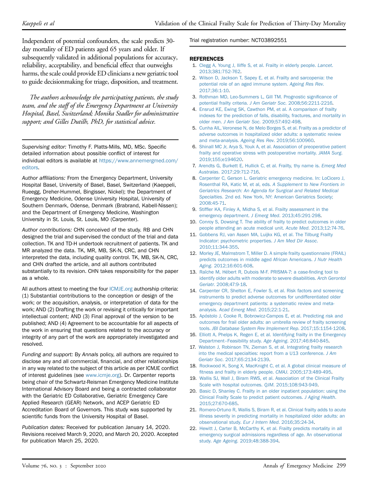Independent of potential confounders, the scale predicts 30 day mortality of ED patients aged 65 years and older. If subsequently validated in additional populations for accuracy, reliability, acceptability, and beneficial effect that outweighs harms, the scale could provide ED clinicians a new geriatric tool to guide decisionmaking for triage, disposition, and treatment.

The authors acknowledge the participating patients, the study team, and the staff of the Emergency Department at University Hospital, Basel, Switzerland; Monika Stadler for administrative support; and Gilles Dutilh, PhD, for statistical advice.

Supervising editor: Timothy F. Platts-Mills, MD, MSc. Specific detailed information about possible conflict of interest for individual editors is available at [https://www.annemergmed.com/](https://www.annemergmed.com/editors) [editors.](https://www.annemergmed.com/editors)

Author affiliations: From the Emergency Department, University Hospital Basel, University of Basel, Basel, Switzerland (Kaeppeli, Rueegg, Dreher-Hummel, Bingisser, Nickel); the Department of Emergency Medicine, Odense University Hospital, University of Southern Denmark, Odense, Denmark (Brabrand, Kabell-Nissen); and the Department of Emergency Medicine, Washington University in St. Louis, St. Louis, MO (Carpenter).

Author contributions: CHN conceived of the study. RB and CHN designed the trial and supervised the conduct of the trial and data collection. TK and TD-H undertook recruitment of patients. TK and MR analyzed the data. TK, MR, MB, SK-N, CRC, and CHN interpreted the data, including quality control. TK, MB, SK-N, CRC, and CHN drafted the article, and all authors contributed substantially to its revision. CHN takes responsibility for the paper as a whole.

All authors attest to meeting the four [ICMJE.org](http://ICMJE.org) authorship criteria: (1) Substantial contributions to the conception or design of the work; or the acquisition, analysis, or interpretation of data for the work; AND (2) Drafting the work or revising it critically for important intellectual content; AND (3) Final approval of the version to be published; AND (4) Agreement to be accountable for all aspects of the work in ensuring that questions related to the accuracy or integrity of any part of the work are appropriately investigated and resolved.

Funding and support: By Annals policy, all authors are required to disclose any and all commercial, financial, and other relationships in any way related to the subject of this article as per ICMJE conflict of interest guidelines (see [www.icmje.org](http://www.icmje.org)). Dr. Carpenter reports being chair of the Schwartz-Reisman Emergency Medicine Institute International Advisory Board and being a contracted collaborator with the Geriatric ED Collaborative, Geriatric Emergency Care Applied Research (GEAR) Network, and ACEP Geriatric ED Accreditation Board of Governors. This study was supported by scientific funds from the University Hospital of Basel.

Publication dates: Received for publication January 14, 2020. Revisions received March 9, 2020, and March 20, 2020. Accepted for publication March 25, 2020.

#### Trial registration number: NCT03892551

#### <span id="page-8-0"></span>REFERENCES

- 1. [Clegg A, Young J, Iliffe S, et al. Frailty in elderly people.](http://refhub.elsevier.com/S0196-0644(20)30218-3/sref1) Lancet. [2013;381:752-762](http://refhub.elsevier.com/S0196-0644(20)30218-3/sref1).
- <span id="page-8-1"></span>2. [Wilson D, Jackson T, Sapey E, et al. Frailty and sarcopenia: the](http://refhub.elsevier.com/S0196-0644(20)30218-3/sref2) [potential role of an aged immune system.](http://refhub.elsevier.com/S0196-0644(20)30218-3/sref2) Ageing Res Rev. [2017;36:1-10.](http://refhub.elsevier.com/S0196-0644(20)30218-3/sref2)
- <span id="page-8-2"></span>3. [Rothman MD, Leo-Summers L, Gill TM. Prognostic signi](http://refhub.elsevier.com/S0196-0644(20)30218-3/sref3)ficance of [potential frailty criteria.](http://refhub.elsevier.com/S0196-0644(20)30218-3/sref3) J Am Geriatr Soc. 2008;56:2211-2216.
- 4. [Ensrud KE, Ewing SK, Cawthon PM, et al. A comparison of frailty](http://refhub.elsevier.com/S0196-0644(20)30218-3/sref4) [indexes for the prediction of falls, disability, fractures, and mortality in](http://refhub.elsevier.com/S0196-0644(20)30218-3/sref4) older men. J Am Geriatr Soc[. 2009;57:492-498.](http://refhub.elsevier.com/S0196-0644(20)30218-3/sref4)
- 5. [Cunha AIL, Veronese N, de Melo Borges S, et al. Frailty as a predictor of](http://refhub.elsevier.com/S0196-0644(20)30218-3/sref5) [adverse outcomes in hospitalized older adults: a systematic review](http://refhub.elsevier.com/S0196-0644(20)30218-3/sref5) and meta-analysis. Ageing Res Rev[. 2019;56:100960.](http://refhub.elsevier.com/S0196-0644(20)30218-3/sref5)
- 6. [Shinall MC Jr, Arya S, Youk A, et al. Association of preoperative patient](http://refhub.elsevier.com/S0196-0644(20)30218-3/sref6) [frailty and operative stress with postoperative mortality.](http://refhub.elsevier.com/S0196-0644(20)30218-3/sref6) JAMA Surg. [2019;155;e194620.](http://refhub.elsevier.com/S0196-0644(20)30218-3/sref6)
- <span id="page-8-3"></span>7. [Arendts G, Burkett E, Hullick C, et al. Frailty, thy name is.](http://refhub.elsevier.com/S0196-0644(20)30218-3/sref7) Emerg Med Australas[. 2017;29:712-716](http://refhub.elsevier.com/S0196-0644(20)30218-3/sref7).
- <span id="page-8-4"></span>8. [Carpenter C, Gerson L. Geriatric emergency medicine. In: LoCicero J,](http://refhub.elsevier.com/S0196-0644(20)30218-3/sref8) Rosenthal RA, Katic M, et al, eds. [A Supplement to New Frontiers in](http://refhub.elsevier.com/S0196-0644(20)30218-3/sref8) [Geriatrics Research: An Agenda for Surgical and Related Medical](http://refhub.elsevier.com/S0196-0644(20)30218-3/sref8) Specialties[. 2nd ed. New York, NY: American Geriatrics Society;](http://refhub.elsevier.com/S0196-0644(20)30218-3/sref8) [2008:45-71](http://refhub.elsevier.com/S0196-0644(20)30218-3/sref8).
- <span id="page-8-6"></span><span id="page-8-5"></span>9. Stiffl[er KA, Finley A, Midha S, et al. Frailty assessment in the](http://refhub.elsevier.com/S0196-0644(20)30218-3/sref9) [emergency department.](http://refhub.elsevier.com/S0196-0644(20)30218-3/sref9) J Emerg Med. 2013;45:291-298.
- <span id="page-8-7"></span>10. [Conroy S, Dowsing T. The ability of frailty to predict outcomes in older](http://refhub.elsevier.com/S0196-0644(20)30218-3/sref10) [people attending an acute medical unit.](http://refhub.elsevier.com/S0196-0644(20)30218-3/sref10) Acute Med. 2013;12:74-76.
- 11. [Gobbens RJ, van Assen MA, Luijkx KG, et al. The Tilburg Frailty](http://refhub.elsevier.com/S0196-0644(20)30218-3/sref11) [Indicator: psychometric properties.](http://refhub.elsevier.com/S0196-0644(20)30218-3/sref11) J Am Med Dir Assoc. [2010;11:344-355](http://refhub.elsevier.com/S0196-0644(20)30218-3/sref11).
- <span id="page-8-8"></span>12. [Morley JE, Malmstrom T, Miller D. A simple frailty questionnaire \(FRAIL\)](http://refhub.elsevier.com/S0196-0644(20)30218-3/sref12) [predicts outcomes in middle aged African Americans.](http://refhub.elsevier.com/S0196-0644(20)30218-3/sref12) J Nutr Health Aging[. 2012;16:601-608](http://refhub.elsevier.com/S0196-0644(20)30218-3/sref12).
- <span id="page-8-9"></span>13. [Raîche M, Hébert R, Dubois M-F. PRISMA-7: a case-](http://refhub.elsevier.com/S0196-0644(20)30218-3/sref13)finding tool to [identify older adults with moderate to severe disabilities.](http://refhub.elsevier.com/S0196-0644(20)30218-3/sref13) Arch Gerontol Geriatr[. 2008;47:9-18.](http://refhub.elsevier.com/S0196-0644(20)30218-3/sref13)
- <span id="page-8-10"></span>14. [Carpenter CR, Shelton E, Fowler S, et al. Risk factors and screening](http://refhub.elsevier.com/S0196-0644(20)30218-3/sref14) [instruments to predict adverse outcomes for undifferentiated older](http://refhub.elsevier.com/S0196-0644(20)30218-3/sref14) [emergency department patients: a systematic review and meta](http://refhub.elsevier.com/S0196-0644(20)30218-3/sref14)analysis. [Acad Emerg Med](http://refhub.elsevier.com/S0196-0644(20)30218-3/sref14). 2015;22:1-21.
- <span id="page-8-11"></span>15. [Apóstolo J, Cooke R, Bobrowicz-Campos E, et al. Predicting risk and](http://refhub.elsevier.com/S0196-0644(20)30218-3/sref15) [outcomes for frail older adults: an umbrella review of frailty screening](http://refhub.elsevier.com/S0196-0644(20)30218-3/sref15) tools. [JBI Database System Rev Implement Rep](http://refhub.elsevier.com/S0196-0644(20)30218-3/sref15). 2017;15:1154-1208.
- <span id="page-8-12"></span>16. [Elliott A, Phelps K, Regen E, et al. Identifying frailty in the Emergency](http://refhub.elsevier.com/S0196-0644(20)30218-3/sref16) [Department](http://refhub.elsevier.com/S0196-0644(20)30218-3/sref16)–Feasibility study. Age Ageing[. 2017;46:840-845](http://refhub.elsevier.com/S0196-0644(20)30218-3/sref16).
- <span id="page-8-13"></span>17. [Walston J, Robinson TN, Zieman S, et al. Integrating frailty research](http://refhub.elsevier.com/S0196-0644(20)30218-3/sref17) [into the medical specialties: report from a U13 conference.](http://refhub.elsevier.com/S0196-0644(20)30218-3/sref17) J Am Geriatr Soc[. 2017;65:2134-2139.](http://refhub.elsevier.com/S0196-0644(20)30218-3/sref17)
- <span id="page-8-14"></span>18. [Rockwood K, Song X, MacKnight C, et al. A global clinical measure of](http://refhub.elsevier.com/S0196-0644(20)30218-3/sref18) fi[tness and frailty in elderly people.](http://refhub.elsevier.com/S0196-0644(20)30218-3/sref18) CMAJ. 2005;173:489-495.
- <span id="page-8-16"></span><span id="page-8-15"></span>19. [Wallis SJ, Wall J, Biram RWS, et al. Association of the Clinical Frailty](http://refhub.elsevier.com/S0196-0644(20)30218-3/sref19) [Scale with hospital outcomes.](http://refhub.elsevier.com/S0196-0644(20)30218-3/sref19) QJM. 2015;108:943-949.
- 20. [Basic D, Shanley C. Frailty in an older inpatient population: using the](http://refhub.elsevier.com/S0196-0644(20)30218-3/sref20) [Clinical Frailty Scale to predict patient outcomes.](http://refhub.elsevier.com/S0196-0644(20)30218-3/sref20) J Aging Health. [2015;27:670-685.](http://refhub.elsevier.com/S0196-0644(20)30218-3/sref20)
- <span id="page-8-17"></span>21. [Romero-Ortuno R, Wallis S, Biram R, et al. Clinical frailty adds to acute](http://refhub.elsevier.com/S0196-0644(20)30218-3/sref21) [illness severity in predicting mortality in hospitalized older adults: an](http://refhub.elsevier.com/S0196-0644(20)30218-3/sref21) [observational study.](http://refhub.elsevier.com/S0196-0644(20)30218-3/sref21) Eur J Intern Med. 2016;35:24-34.
- <span id="page-8-18"></span>22. [Hewitt J, Carter B, McCarthy K, et al. Frailty predicts mortality in all](http://refhub.elsevier.com/S0196-0644(20)30218-3/sref22) [emergency surgical admissions regardless of age. An observational](http://refhub.elsevier.com/S0196-0644(20)30218-3/sref22) study. Age Ageing[. 2019;48:388-394.](http://refhub.elsevier.com/S0196-0644(20)30218-3/sref22)